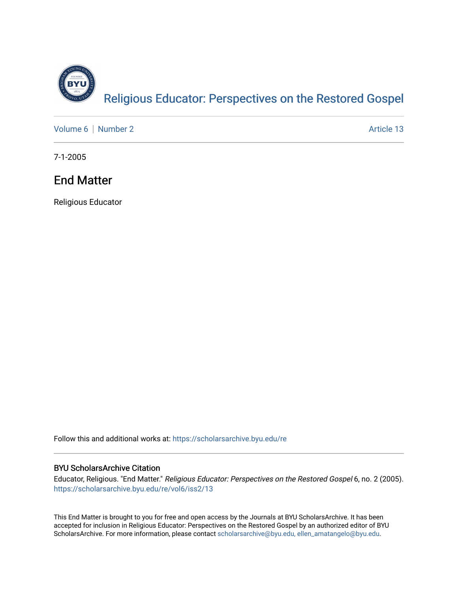

[Volume 6](https://scholarsarchive.byu.edu/re/vol6) | [Number 2](https://scholarsarchive.byu.edu/re/vol6/iss2) Article 13

7-1-2005

## End Matter

Religious Educator

Follow this and additional works at: [https://scholarsarchive.byu.edu/re](https://scholarsarchive.byu.edu/re?utm_source=scholarsarchive.byu.edu%2Fre%2Fvol6%2Fiss2%2F13&utm_medium=PDF&utm_campaign=PDFCoverPages)

#### BYU ScholarsArchive Citation

Educator, Religious. "End Matter." Religious Educator: Perspectives on the Restored Gospel 6, no. 2 (2005). [https://scholarsarchive.byu.edu/re/vol6/iss2/13](https://scholarsarchive.byu.edu/re/vol6/iss2/13?utm_source=scholarsarchive.byu.edu%2Fre%2Fvol6%2Fiss2%2F13&utm_medium=PDF&utm_campaign=PDFCoverPages) 

This End Matter is brought to you for free and open access by the Journals at BYU ScholarsArchive. It has been accepted for inclusion in Religious Educator: Perspectives on the Restored Gospel by an authorized editor of BYU ScholarsArchive. For more information, please contact [scholarsarchive@byu.edu, ellen\\_amatangelo@byu.edu.](mailto:scholarsarchive@byu.edu,%20ellen_amatangelo@byu.edu)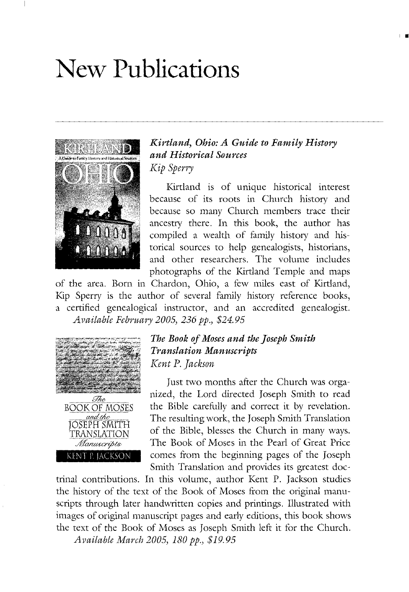# **New Publications**



#### *Kirtland, Ohio: A Guide to Family History and Historical Sources Kip Sperry*

I •

Kirtland is of umque historical interest because of its roots in Church history and because so many Church members trace their ancestry there. In this book, the author has compiled a wealth of family history and historical sources to help genealogists, historians, and other researchers. The volume includes photographs of the Kirtland Temple and maps

of the area. Born in Chardon, Ohio, a few miles east of Kirtland, Kip Sperry is the author of several family history reference books, a certified genealogical instructor, and an accredited genealogist. *Available February 2005,236 pp., \$24.95*



#### *The Book ofMoses and the Joseph Smith Translation Manuscripts Kent* P. *Jackson*

Just two months after the Church was organized, the Lord directed Joseph Smith to read the Bible carefully and correct it by revelation. The resulting work, the Joseph Smith Translation of the Bible, blesses the Church in many ways. The Book of Moses in the Pearl of Great Price comes from the beginning pages of the Joseph Smith Translation and provides its greatest doc-

trinal contributions. In this volume, author Kent P. Jackson studies the history of the text of the Book of Moses from the original manuscripts through later handwritten copies and printings. Illustrated with images of original manuscript pages and early editions, this book shows the text of the Book of Moses as Joseph Smith left it for the Church. *Available March 2005, 180 pp., \$19.95*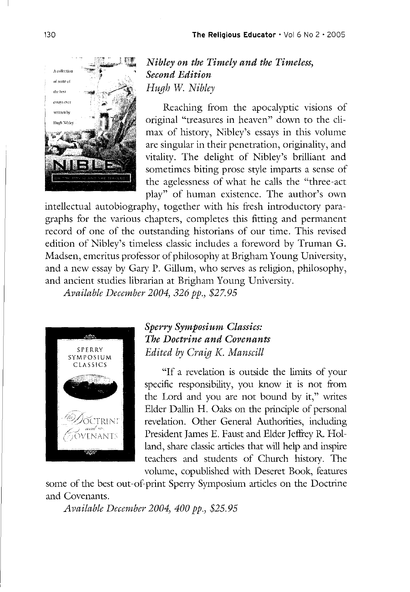

*Nibley on the Timely and the Timeless, Second Edition*

Reaching from the apocalyptic visions of original "treasures in heaven" down to the climax of history, Nibley's essays in this volume are singular in their penetration, originality, and vitality. The delight of Nibley's brilliant and sometimes biting prose style imparts a sense of the agelessness of what he calls the "three-act play" of human existence. The author's own

intellectual autobiography, together with his fresh introductory paragraphs for the various chapters, completes this fitting and permanent record of one of the outstanding historians of our time. This revised edition of Nibley's timeless classic includes a foreword by Truman G. Madsen, emeritus professor of philosophy at Brigham Young University, and a new essay by Gary P. Gillum, who serves as religion, philosophy, and ancient studies librarian at Brigham Young University.

*Available December 2004,* 326 *pp., \$27.95*



### *Sperry Symposium Classics: The Doctrine and Covenants Edited by Craig K. Manscill*

"If a revelation is outside the limits of your specific responsibility, you know it is not from the Lord and you are not bound by it," writes Elder Dallin H. Oaks on the principle of personal revelation. Other General Authorities, including President James E. Faust and Elder Jeffrey R. Holland, share classic articles that will help and inspire teachers and students of Church history. The volume, copublished with Deseret Book, features

some of the best out-of-print Sperry Symposium articles on the Doctrine and Covenants.

*Available December 2004,400 pp., \$25.95*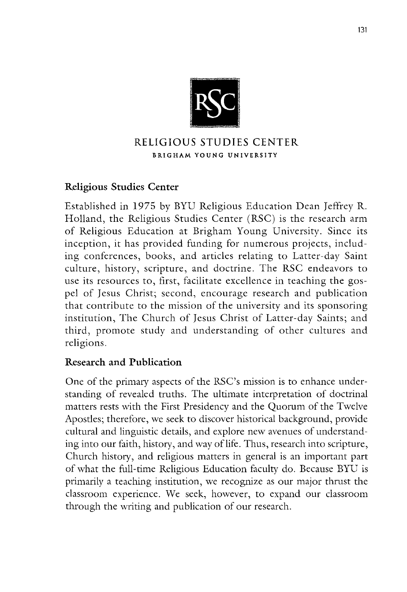

### RELIGIOUS STUDIES CENTER BRIGHAM YOUNG UNIVERSITY

### Religious Studies Center

Established in 1975 by BYU Religious Education Dean Jeffrey R. Holland, the Religious Studies Center (RSC) is the research arm of Religious Education at Brigham Young University. Since its inception, it has provided funding for numerous projects, including conferences, books, and articles relating to Latter-day Saint culture, history, scripture, and doctrine. The RSC endeavors to use its resources to, first, facilitate excellence in teaching the gospel of Jesus Christ; second, encourage research and publication that contribute to the mission of the university and its sponsoring institution, The Church of Jesus Christ of Latter-day Saints; and third, promote study and understanding of other cultures and religions.

### Research and Publication

One of the primary aspects of the RSC's mission is to enhance understanding of revealed truths. The ultimate interpretation of doctrinal matters rests with the First Presidency and the Quorum of the Twelve Apostles; therefore, we seek to discover historical background, provide cultural and linguistic details, and explore new avenues of understanding into our faith, history, and way of life. Thus, research into scripture, Church history, and religious matters in general is an important part of what the full-time Religious Education faculty do. Because BYU is primarily a teaching institution, we recognize as our major thrust the classroom experience. We seek, however, to expand our classroom through the writing and publication of our research.